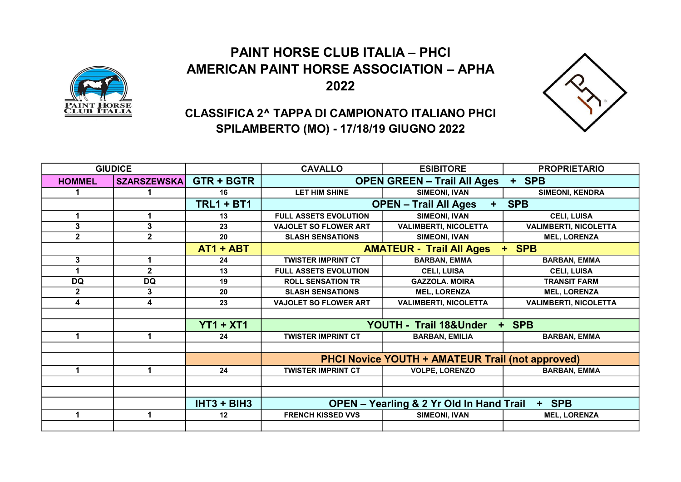## PAINT HORSE CLUB ITALIA – PHCI AMERICAN PAINT HORSE ASSOCIATION – APHA 2022





## CLASSIFICA 2^ TAPPA DI CAMPIONATO ITALIANO PHCI SPILAMBERTO (MO) - 17/18/19 GIUGNO 2022

| <b>GIUDICE</b> |                    |                   | <b>CAVALLO</b>                                               | <b>ESIBITORE</b>             | <b>PROPRIETARIO</b>          |
|----------------|--------------------|-------------------|--------------------------------------------------------------|------------------------------|------------------------------|
| <b>HOMMEL</b>  | <b>SZARSZEWSKA</b> | <b>GTR + BGTR</b> | <b>OPEN GREEN - Trail All Ages</b><br>+ SPB                  |                              |                              |
|                |                    | 16                | LET HIM SHINE                                                | <b>SIMEONI, IVAN</b>         | <b>SIMEONI, KENDRA</b>       |
|                |                    | <b>TRL1 + BT1</b> | <b>OPEN - Trail All Ages</b><br><b>SPB</b><br>$+$            |                              |                              |
| 1              |                    | 13                | <b>FULL ASSETS EVOLUTION</b>                                 | SIMEONI, IVAN                | <b>CELI, LUISA</b>           |
| 3              | 3                  | 23                | <b>VAJOLET SO FLOWER ART</b>                                 | <b>VALIMBERTI, NICOLETTA</b> | <b>VALIMBERTI, NICOLETTA</b> |
| $\mathbf{2}$   | $\mathbf{2}$       | 20                | <b>SLASH SENSATIONS</b>                                      | <b>SIMEONI, IVAN</b>         | <b>MEL, LORENZA</b>          |
|                |                    | $AT1 + ABT$       | <b>AMATEUR - Trail All Ages</b>                              | <b>SPB</b><br>$+$ .          |                              |
| 3              |                    | 24                | <b>TWISTER IMPRINT CT</b>                                    | <b>BARBAN, EMMA</b>          | <b>BARBAN, EMMA</b>          |
|                | $\mathbf{2}$       | 13                | <b>FULL ASSETS EVOLUTION</b>                                 | <b>CELI, LUISA</b>           | <b>CELI, LUISA</b>           |
| <b>DQ</b>      | <b>DQ</b>          | 19                | <b>ROLL SENSATION TR</b>                                     | <b>GAZZOLA. MOIRA</b>        | <b>TRANSIT FARM</b>          |
| $\mathbf{2}$   | 3                  | 20                | <b>SLASH SENSATIONS</b>                                      | <b>MEL, LORENZA</b>          | <b>MEL, LORENZA</b>          |
| 4              | 4                  | 23                | <b>VAJOLET SO FLOWER ART</b>                                 | <b>VALIMBERTI, NICOLETTA</b> | <b>VALIMBERTI, NICOLETTA</b> |
|                |                    |                   |                                                              |                              |                              |
|                |                    | $YT1 + XT1$       | YOUTH - Trail 18&Under<br><b>SPB</b><br>٠                    |                              |                              |
| 1              |                    | 24                | <b>TWISTER IMPRINT CT</b>                                    | <b>BARBAN, EMILIA</b>        | <b>BARBAN, EMMA</b>          |
|                |                    |                   |                                                              |                              |                              |
|                |                    |                   | <b>PHCI Novice YOUTH + AMATEUR Trail (not approved)</b>      |                              |                              |
| 1              | 1                  | 24                | <b>TWISTER IMPRINT CT</b>                                    | <b>VOLPE, LORENZO</b>        | <b>BARBAN, EMMA</b>          |
|                |                    |                   |                                                              |                              |                              |
|                |                    |                   |                                                              |                              |                              |
|                |                    | IHT3 + BIH3       | + SPB<br><b>OPEN - Yearling &amp; 2 Yr Old In Hand Trail</b> |                              |                              |
| 1              | 1                  | 12                | <b>FRENCH KISSED VVS</b>                                     | <b>SIMEONI, IVAN</b>         | <b>MEL, LORENZA</b>          |
|                |                    |                   |                                                              |                              |                              |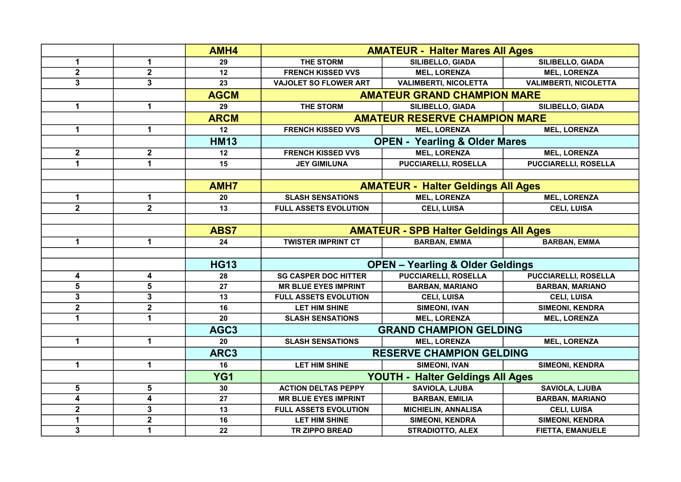|                         |                         | AMH4             | <b>AMATEUR - Halter Mares All Ages</b>        |                                          |                              |
|-------------------------|-------------------------|------------------|-----------------------------------------------|------------------------------------------|------------------------------|
| $\mathbf 1$             | 1                       | 29               | <b>THE STORM</b>                              | SILIBELLO, GIADA                         | SILIBELLO, GIADA             |
| $\mathbf{2}$            | $\mathbf 2$             | 12               | <b>FRENCH KISSED VVS</b>                      | <b>MEL, LORENZA</b>                      | <b>MEL, LORENZA</b>          |
| 3                       | $\overline{3}$          | 23               | <b>VAJOLET SO FLOWER ART</b>                  | <b>VALIMBERTI, NICOLETTA</b>             | <b>VALIMBERTI, NICOLETTA</b> |
|                         |                         | <b>AGCM</b>      | <b>AMATEUR GRAND CHAMPION MARE</b>            |                                          |                              |
| $\mathbf 1$             | $\mathbf 1$             | 29               | THE STORM                                     | SILIBELLO, GIADA                         | SILIBELLO, GIADA             |
|                         |                         | <b>ARCM</b>      | <b>AMATEUR RESERVE CHAMPION MARE</b>          |                                          |                              |
| $\mathbf{1}$            | $\mathbf{1}$            | 12               | <b>FRENCH KISSED VVS</b>                      | <b>MEL, LORENZA</b>                      | <b>MEL, LORENZA</b>          |
|                         |                         | <b>HM13</b>      |                                               | <b>OPEN - Yearling &amp; Older Mares</b> |                              |
| $\mathbf{2}$            | $\mathbf{2}$            | 12               | <b>FRENCH KISSED VVS</b>                      | <b>MEL, LORENZA</b>                      | <b>MEL, LORENZA</b>          |
| 1                       | 1                       | $\overline{15}$  | <b>JEY GIMILUNA</b>                           | <b>PUCCIARELLI, ROSELLA</b>              | <b>PUCCIARELLI, ROSELLA</b>  |
|                         |                         |                  |                                               |                                          |                              |
|                         |                         | <b>AMH7</b>      | <b>AMATEUR - Halter Geldings All Ages</b>     |                                          |                              |
| 1                       | 1                       | 20               | <b>SLASH SENSATIONS</b>                       | <b>MEL, LORENZA</b>                      | <b>MEL, LORENZA</b>          |
| $\overline{2}$          | $\overline{2}$          | 13               | <b>FULL ASSETS EVOLUTION</b>                  | <b>CELI, LUISA</b>                       | <b>CELI, LUISA</b>           |
|                         |                         |                  |                                               |                                          |                              |
|                         |                         | ABS7             | <b>AMATEUR - SPB Halter Geldings All Ages</b> |                                          |                              |
| 1                       | $\mathbf 1$             | 24               | <b>TWISTER IMPRINT CT</b>                     | <b>BARBAN, EMMA</b>                      | <b>BARBAN, EMMA</b>          |
|                         |                         |                  |                                               |                                          |                              |
|                         |                         | <b>HG13</b>      | <b>OPEN - Yearling &amp; Older Geldings</b>   |                                          |                              |
| 4                       | 4                       | 28               | <b>SG CASPER DOC HITTER</b>                   | <b>PUCCIARELLI, ROSELLA</b>              | <b>PUCCIARELLI, ROSELLA</b>  |
| 5                       | 5                       | 27               | <b>MR BLUE EYES IMPRINT</b>                   | <b>BARBAN, MARIANO</b>                   | <b>BARBAN, MARIANO</b>       |
| $\mathbf{3}$            | $\mathbf 3$             | 13               | <b>FULL ASSETS EVOLUTION</b>                  | <b>CELI, LUISA</b>                       | <b>CELI, LUISA</b>           |
| $\mathbf{2}$            | $\mathbf 2$             | 16               | <b>LET HIM SHINE</b>                          | <b>SIMEONI, IVAN</b>                     | <b>SIMEONI, KENDRA</b>       |
| 1                       | $\mathbf{1}$            | 20               | <b>SLASH SENSATIONS</b>                       | <b>MEL, LORENZA</b>                      | <b>MEL, LORENZA</b>          |
|                         |                         | AGC <sub>3</sub> | <b>GRAND CHAMPION GELDING</b>                 |                                          |                              |
| $\mathbf{1}$            | $\mathbf{1}$            | 20               | <b>SLASH SENSATIONS</b>                       | <b>MEL, LORENZA</b>                      | <b>MEL, LORENZA</b>          |
|                         |                         | ARC3             | <b>RESERVE CHAMPION GELDING</b>               |                                          |                              |
| 1                       | $\mathbf 1$             | 16               | <b>LET HIM SHINE</b>                          | <b>SIMEONI, IVAN</b>                     | <b>SIMEONI, KENDRA</b>       |
|                         |                         | YG1              | YOUTH - Halter Geldings All Ages              |                                          |                              |
| 5                       | 5                       | 30               | <b>ACTION DELTAS PEPPY</b>                    | <b>SAVIOLA, LJUBA</b>                    | <b>SAVIOLA, LJUBA</b>        |
| $\overline{\mathbf{4}}$ | $\overline{\mathbf{4}}$ | 27               | <b>MR BLUE EYES IMPRINT</b>                   | <b>BARBAN, EMILIA</b>                    | <b>BARBAN, MARIANO</b>       |
| $\mathbf{2}$            | 3                       | 13               | <b>FULL ASSETS EVOLUTION</b>                  | <b>MICHIELIN, ANNALISA</b>               | <b>CELI, LUISA</b>           |
| 1                       | $\overline{2}$          | 16               | <b>LET HIM SHINE</b>                          | <b>SIMEONI, KENDRA</b>                   | <b>SIMEONI, KENDRA</b>       |
| $\mathbf{3}$            | $\mathbf{1}$            | 22               | <b>TR ZIPPO BREAD</b>                         | <b>STRADIOTTO, ALEX</b>                  | <b>FIETTA, EMANUELE</b>      |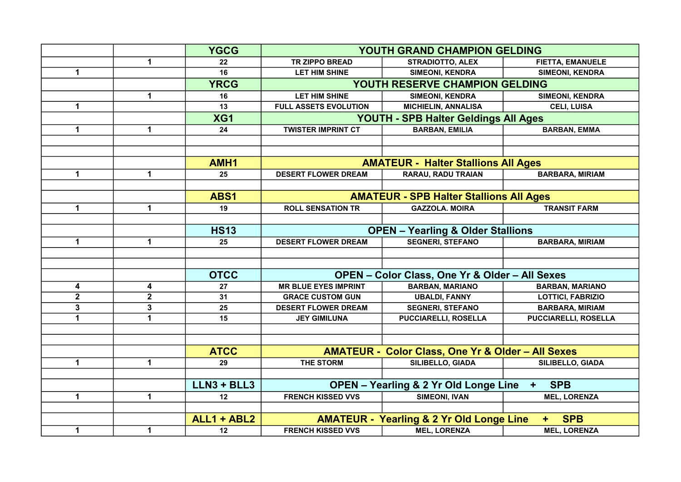|              |                         | <b>YGCG</b>   | YOUTH GRAND CHAMPION GELDING                                                |                                                              |                             |
|--------------|-------------------------|---------------|-----------------------------------------------------------------------------|--------------------------------------------------------------|-----------------------------|
|              | $\mathbf 1$             | 22            | <b>TR ZIPPO BREAD</b>                                                       | <b>STRADIOTTO, ALEX</b>                                      | <b>FIETTA, EMANUELE</b>     |
| $\mathbf{1}$ |                         | 16            | <b>LET HIM SHINE</b>                                                        | <b>SIMEONI, KENDRA</b>                                       | <b>SIMEONI, KENDRA</b>      |
|              |                         | <b>YRCG</b>   | YOUTH RESERVE CHAMPION GELDING                                              |                                                              |                             |
|              | $\mathbf 1$             | 16            | <b>LET HIM SHINE</b>                                                        | <b>SIMEONI, KENDRA</b>                                       | <b>SIMEONI, KENDRA</b>      |
| $\mathbf 1$  |                         | 13            | FULL ASSETS EVOLUTION                                                       | <b>MICHIELIN, ANNALISA</b>                                   | <b>CELI, LUISA</b>          |
|              |                         | XG1           | YOUTH - SPB Halter Geldings All Ages                                        |                                                              |                             |
| $\mathbf 1$  | $\mathbf 1$             | 24            | <b>TWISTER IMPRINT CT</b>                                                   | <b>BARBAN, EMILIA</b>                                        | <b>BARBAN, EMMA</b>         |
|              |                         |               |                                                                             |                                                              |                             |
|              |                         |               |                                                                             |                                                              |                             |
|              |                         | AMH1          | <b>AMATEUR - Halter Stallions All Ages</b>                                  |                                                              |                             |
| $\mathbf 1$  | $\mathbf 1$             | 25            | <b>DESERT FLOWER DREAM</b>                                                  | <b>RARAU, RADU TRAIAN</b>                                    | <b>BARBARA, MIRIAM</b>      |
|              |                         |               |                                                                             |                                                              |                             |
|              |                         | ABS1          | <b>AMATEUR - SPB Halter Stallions All Ages</b>                              |                                                              |                             |
| $\mathbf 1$  | $\mathbf 1$             | 19            | <b>ROLL SENSATION TR</b>                                                    | <b>GAZZOLA. MOIRA</b>                                        | <b>TRANSIT FARM</b>         |
|              |                         |               |                                                                             |                                                              |                             |
|              |                         | <b>HS13</b>   | <b>OPEN - Yearling &amp; Older Stallions</b>                                |                                                              |                             |
| $\mathbf 1$  | $\mathbf 1$             | 25            | <b>DESERT FLOWER DREAM</b>                                                  | <b>SEGNERI, STEFANO</b>                                      | <b>BARBARA, MIRIAM</b>      |
|              |                         |               |                                                                             |                                                              |                             |
|              |                         |               |                                                                             |                                                              |                             |
|              |                         | <b>OTCC</b>   | <b>OPEN - Color Class, One Yr &amp; Older - All Sexes</b>                   |                                                              |                             |
| 4            | 4                       | 27            | <b>MR BLUE EYES IMPRINT</b>                                                 | <b>BARBAN, MARIANO</b>                                       | <b>BARBAN, MARIANO</b>      |
| $\mathbf{2}$ | $\overline{\mathbf{2}}$ | 31            | <b>GRACE CUSTOM GUN</b>                                                     | <b>UBALDI, FANNY</b>                                         | <b>LOTTICI, FABRIZIO</b>    |
| $\mathbf 3$  | 3                       | 25            | <b>DESERT FLOWER DREAM</b>                                                  | <b>SEGNERI, STEFANO</b>                                      | <b>BARBARA, MIRIAM</b>      |
| $\mathbf{1}$ | $\mathbf{1}$            | 15            | <b>JEY GIMILUNA</b>                                                         | <b>PUCCIARELLI, ROSELLA</b>                                  | <b>PUCCIARELLI, ROSELLA</b> |
|              |                         |               |                                                                             |                                                              |                             |
|              |                         |               |                                                                             |                                                              |                             |
|              |                         | <b>ATCC</b>   |                                                                             | <b>AMATEUR - Color Class, One Yr &amp; Older - All Sexes</b> |                             |
| 1            | 1                       | 29            | <b>THE STORM</b>                                                            | SILIBELLO, GIADA                                             | <b>SILIBELLO, GIADA</b>     |
|              |                         |               |                                                                             |                                                              |                             |
|              |                         | $LLN3 + BLL3$ | <b>OPEN - Yearling &amp; 2 Yr Old Longe Line</b><br><b>SPB</b><br>$\ddot{}$ |                                                              |                             |
| $\mathbf 1$  | 1                       | 12            | <b>FRENCH KISSED VVS</b>                                                    | <b>SIMEONI, IVAN</b>                                         | <b>MEL, LORENZA</b>         |
|              |                         |               |                                                                             |                                                              |                             |
|              |                         | ALL1 + ABL2   | <b>AMATEUR - Yearling &amp; 2 Yr Old Longe Line</b><br><b>SPB</b><br>÷.     |                                                              |                             |
| $\mathbf{1}$ | $\mathbf 1$             | $12 \,$       | <b>FRENCH KISSED VVS</b>                                                    | <b>MEL, LORENZA</b>                                          | <b>MEL, LORENZA</b>         |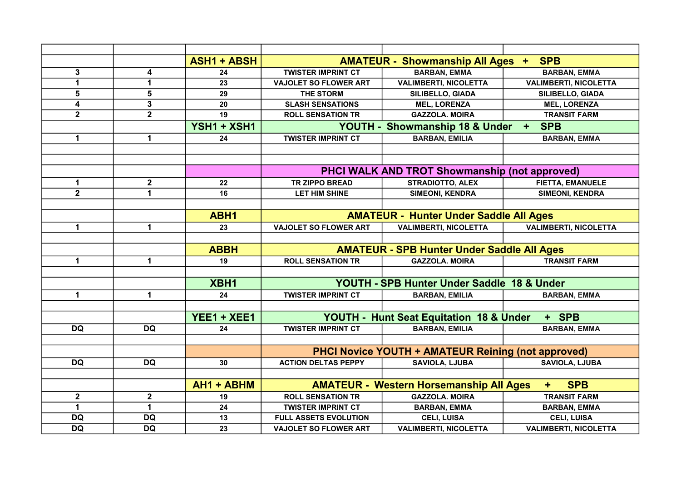|                |                      | <b>ASH1 + ABSH</b> |                                                                              | <b>AMATEUR - Showmanship All Ages +</b>              | <b>SPB</b>                   |  |
|----------------|----------------------|--------------------|------------------------------------------------------------------------------|------------------------------------------------------|------------------------------|--|
| $\mathbf{3}$   | 4                    | 24                 | <b>TWISTER IMPRINT CT</b>                                                    | <b>BARBAN, EMMA</b>                                  | <b>BARBAN, EMMA</b>          |  |
| 1              | 1                    | 23                 | <b>VAJOLET SO FLOWER ART</b>                                                 | <b>VALIMBERTI, NICOLETTA</b>                         | <b>VALIMBERTI, NICOLETTA</b> |  |
| 5              | 5                    | 29                 | THE STORM                                                                    | SILIBELLO, GIADA                                     | SILIBELLO, GIADA             |  |
| 4              | $\mathbf 3$          | 20                 | <b>SLASH SENSATIONS</b>                                                      | <b>MEL, LORENZA</b>                                  | <b>MEL, LORENZA</b>          |  |
| $\mathbf{2}$   | $\overline{2}$       | 19                 | <b>ROLL SENSATION TR</b>                                                     | <b>GAZZOLA. MOIRA</b>                                | <b>TRANSIT FARM</b>          |  |
|                |                      | YSH1 + XSH1        | <b>YOUTH -</b><br><b>Showmanship 18 &amp; Under</b><br><b>SPB</b><br>$+$ $-$ |                                                      |                              |  |
| 1              | 1                    | 24                 | <b>TWISTER IMPRINT CT</b>                                                    | <b>BARBAN, EMILIA</b>                                | <b>BARBAN, EMMA</b>          |  |
|                |                      |                    |                                                                              |                                                      |                              |  |
|                |                      |                    |                                                                              |                                                      |                              |  |
|                |                      |                    |                                                                              | <b>PHCI WALK AND TROT Showmanship (not approved)</b> |                              |  |
| 1              | $\mathbf{2}$         | 22                 | <b>TR ZIPPO BREAD</b>                                                        | <b>STRADIOTTO, ALEX</b>                              | <b>FIETTA, EMANUELE</b>      |  |
| $\overline{2}$ | 1                    | 16                 | <b>LET HIM SHINE</b>                                                         | <b>SIMEONI, KENDRA</b>                               | <b>SIMEONI, KENDRA</b>       |  |
|                |                      |                    |                                                                              |                                                      |                              |  |
|                |                      | ABH1               | <b>AMATEUR - Hunter Under Saddle All Ages</b>                                |                                                      |                              |  |
| 1              | $\mathbf 1$          | 23                 | <b>VAJOLET SO FLOWER ART</b>                                                 | <b>VALIMBERTI, NICOLETTA</b>                         | <b>VALIMBERTI, NICOLETTA</b> |  |
|                |                      |                    |                                                                              |                                                      |                              |  |
|                |                      | <b>ABBH</b>        | <b>AMATEUR - SPB Hunter Under Saddle All Ages</b>                            |                                                      |                              |  |
| 1              | $\blacktriangleleft$ | 19                 | <b>ROLL SENSATION TR</b>                                                     | <b>GAZZOLA. MOIRA</b>                                | <b>TRANSIT FARM</b>          |  |
|                |                      |                    |                                                                              |                                                      |                              |  |
|                |                      | XBH1               | YOUTH - SPB Hunter Under Saddle 18 & Under                                   |                                                      |                              |  |
| $\mathbf 1$    | $\mathbf 1$          | 24                 | <b>TWISTER IMPRINT CT</b>                                                    | <b>BARBAN, EMILIA</b>                                | <b>BARBAN, EMMA</b>          |  |
|                |                      |                    |                                                                              |                                                      |                              |  |
|                |                      | YEE1 + XEE1        |                                                                              | <b>YOUTH - Hunt Seat Equitation 18 &amp; Under</b>   | + SPB                        |  |
| <b>DQ</b>      | <b>DQ</b>            | 24                 | <b>TWISTER IMPRINT CT</b>                                                    | <b>BARBAN, EMILIA</b>                                | <b>BARBAN, EMMA</b>          |  |
|                |                      |                    |                                                                              |                                                      |                              |  |
|                |                      |                    | <b>PHCI Novice YOUTH + AMATEUR Reining (not approved)</b>                    |                                                      |                              |  |
| <b>DQ</b>      | <b>DQ</b>            | 30                 | <b>ACTION DELTAS PEPPY</b>                                                   | <b>SAVIOLA, LJUBA</b>                                | <b>SAVIOLA, LJUBA</b>        |  |
|                |                      |                    |                                                                              |                                                      |                              |  |
|                |                      | AH1 + ABHM         |                                                                              | <b>AMATEUR - Western Horsemanship All Ages</b>       | <b>SPB</b><br>٠              |  |
| $\mathbf{2}$   | $\mathbf{2}$         | 19                 | <b>ROLL SENSATION TR</b>                                                     | <b>GAZZOLA. MOIRA</b>                                | <b>TRANSIT FARM</b>          |  |
| 1              | $\mathbf{1}$         | 24                 | <b>TWISTER IMPRINT CT</b>                                                    | <b>BARBAN, EMMA</b>                                  | <b>BARBAN, EMMA</b>          |  |
| <b>DQ</b>      | <b>DQ</b>            | 13                 | FULL ASSETS EVOLUTION                                                        | <b>CELI, LUISA</b>                                   | <b>CELI, LUISA</b>           |  |
| <b>DQ</b>      | <b>DQ</b>            | 23                 | <b>VAJOLET SO FLOWER ART</b>                                                 | <b>VALIMBERTI, NICOLETTA</b>                         | <b>VALIMBERTI, NICOLETTA</b> |  |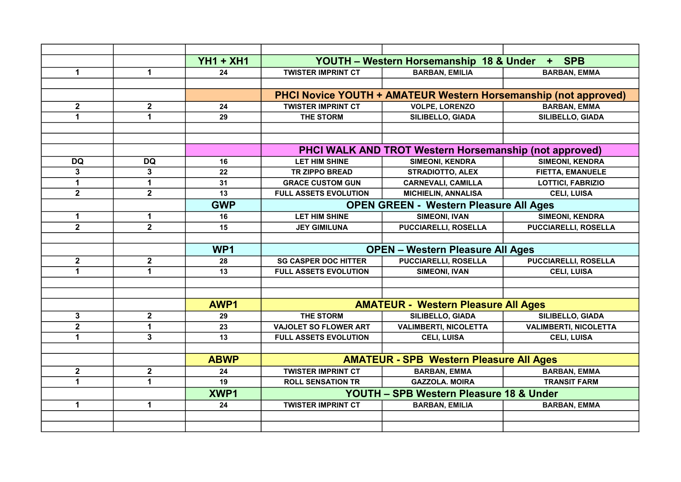|                |                         | <b>YH1 + XH1</b> |                                                               | YOUTH - Western Horsemanship 18 & Under | + SPB                                                           |
|----------------|-------------------------|------------------|---------------------------------------------------------------|-----------------------------------------|-----------------------------------------------------------------|
| $\mathbf 1$    | 1                       | 24               | <b>TWISTER IMPRINT CT</b>                                     | <b>BARBAN, EMILIA</b>                   | <b>BARBAN, EMMA</b>                                             |
|                |                         |                  |                                                               |                                         |                                                                 |
|                |                         |                  |                                                               |                                         | PHCI Novice YOUTH + AMATEUR Western Horsemanship (not approved) |
| $\mathbf{2}$   | $\mathbf 2$             | 24               | <b>TWISTER IMPRINT CT</b>                                     | <b>VOLPE, LORENZO</b>                   | <b>BARBAN, EMMA</b>                                             |
| 1              | $\overline{1}$          | 29               | <b>THE STORM</b>                                              | SILIBELLO, GIADA                        | SILIBELLO, GIADA                                                |
|                |                         |                  |                                                               |                                         |                                                                 |
|                |                         |                  |                                                               |                                         |                                                                 |
|                |                         |                  | <b>PHCI WALK AND TROT Western Horsemanship (not approved)</b> |                                         |                                                                 |
| <b>DQ</b>      | <b>DQ</b>               | 16               | <b>LET HIM SHINE</b>                                          | <b>SIMEONI, KENDRA</b>                  | <b>SIMEONI, KENDRA</b>                                          |
| 3              | 3                       | 22               | <b>TR ZIPPO BREAD</b>                                         | <b>STRADIOTTO, ALEX</b>                 | <b>FIETTA, EMANUELE</b>                                         |
| 1              | $\mathbf{1}$            | 31               | <b>GRACE CUSTOM GUN</b>                                       | <b>CARNEVALI, CAMILLA</b>               | <b>LOTTICI, FABRIZIO</b>                                        |
| $\mathbf{2}$   | $\overline{\mathbf{2}}$ | 13               | FULL ASSETS EVOLUTION                                         | <b>MICHIELIN, ANNALISA</b>              | <b>CELI, LUISA</b>                                              |
|                |                         | <b>GWP</b>       | <b>OPEN GREEN - Western Pleasure All Ages</b>                 |                                         |                                                                 |
| 1              | 1                       | 16               | <b>LET HIM SHINE</b>                                          | <b>SIMEONI, IVAN</b>                    | <b>SIMEONI, KENDRA</b>                                          |
| $\overline{2}$ | $\overline{2}$          | 15               | <b>JEY GIMILUNA</b>                                           | <b>PUCCIARELLI, ROSELLA</b>             | <b>PUCCIARELLI, ROSELLA</b>                                     |
|                |                         |                  |                                                               |                                         |                                                                 |
|                |                         | WP <sub>1</sub>  | <b>OPEN - Western Pleasure All Ages</b>                       |                                         |                                                                 |
| $\mathbf{2}$   | $\mathbf{2}$            | 28               | <b>SG CASPER DOC HITTER</b>                                   | <b>PUCCIARELLI, ROSELLA</b>             | <b>PUCCIARELLI, ROSELLA</b>                                     |
| 1              | 1                       | 13               | <b>FULL ASSETS EVOLUTION</b>                                  | <b>SIMEONI, IVAN</b>                    | <b>CELI, LUISA</b>                                              |
|                |                         |                  |                                                               |                                         |                                                                 |
|                |                         |                  |                                                               |                                         |                                                                 |
|                |                         | AWP1             | <b>AMATEUR - Western Pleasure All Ages</b>                    |                                         |                                                                 |
| 3              | $\mathbf 2$             | 29               | <b>THE STORM</b>                                              | SILIBELLO, GIADA                        | SILIBELLO, GIADA                                                |
| $\mathbf{2}$   | 1                       | 23               | <b>VAJOLET SO FLOWER ART</b>                                  | <b>VALIMBERTI, NICOLETTA</b>            | <b>VALIMBERTI, NICOLETTA</b>                                    |
| 1              | 3                       | 13               | <b>FULL ASSETS EVOLUTION</b>                                  | <b>CELI, LUISA</b>                      | <b>CELI, LUISA</b>                                              |
|                |                         |                  |                                                               |                                         |                                                                 |
|                |                         | <b>ABWP</b>      | <b>AMATEUR - SPB Western Pleasure All Ages</b>                |                                         |                                                                 |
| $\mathbf{2}$   | $\mathbf{2}$            | 24               | <b>TWISTER IMPRINT CT</b>                                     | <b>BARBAN, EMMA</b>                     | <b>BARBAN, EMMA</b>                                             |
| 1              | 1                       | 19               | <b>ROLL SENSATION TR</b>                                      | <b>GAZZOLA. MOIRA</b>                   | <b>TRANSIT FARM</b>                                             |
|                |                         | XWP1             | <b>YOUTH - SPB Western Pleasure 18 &amp; Under</b>            |                                         |                                                                 |
| $\mathbf{1}$   | 1                       | 24               | <b>TWISTER IMPRINT CT</b>                                     | <b>BARBAN, EMILIA</b>                   | <b>BARBAN, EMMA</b>                                             |
|                |                         |                  |                                                               |                                         |                                                                 |
|                |                         |                  |                                                               |                                         |                                                                 |